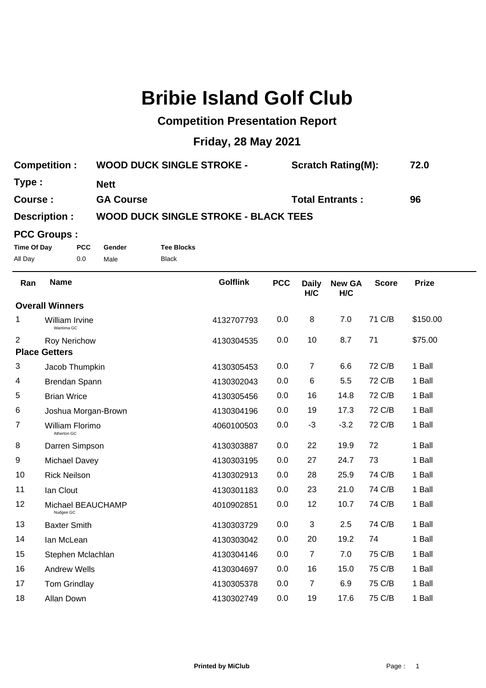# **Bribie Island Golf Club**

### **Competition Presentation Report**

## **Friday, 28 May 2021**

| <b>Competition:</b> | <b>WOOD DUCK SINGLE STROKE -</b> | <b>Scratch Rating(M):</b> | 72.0 |
|---------------------|----------------------------------|---------------------------|------|
| Type :              | Nett                             |                           |      |
| <b>Course :</b>     | <b>GA Course</b>                 | <b>Total Entrants:</b>    | 96   |
| $D^{\text{a}}$      | WOOD DUCK CINCLE STROKE          | DI ACK TEEC               |      |

#### **Description : WOOD DUCK SINGLE STROKE - BLACK TEES**

#### **PCC Groups :**

**Time Of Day PCC Gender Tee Blocks** All Day 0.0 Male Black

| Ran                    | <b>Name</b>                    | <b>Golflink</b> | <b>PCC</b> | <b>Daily</b><br>H/C | <b>New GA</b><br>H/C | <b>Score</b> | <b>Prize</b> |  |
|------------------------|--------------------------------|-----------------|------------|---------------------|----------------------|--------------|--------------|--|
| <b>Overall Winners</b> |                                |                 |            |                     |                      |              |              |  |
| 1                      | William Irvine<br>Wantima GC   | 4132707793      | 0.0        | 8                   | 7.0                  | 71 C/B       | \$150.00     |  |
| 2                      | <b>Roy Nerichow</b>            | 4130304535      | 0.0        | 10                  | 8.7                  | 71           | \$75.00      |  |
|                        | <b>Place Getters</b>           |                 |            |                     |                      |              |              |  |
| 3                      | Jacob Thumpkin                 | 4130305453      | 0.0        | $\overline{7}$      | 6.6                  | 72 C/B       | 1 Ball       |  |
| 4                      | Brendan Spann                  | 4130302043      | 0.0        | $\,6$               | 5.5                  | 72 C/B       | 1 Ball       |  |
| 5                      | <b>Brian Wrice</b>             | 4130305456      | 0.0        | 16                  | 14.8                 | 72 C/B       | 1 Ball       |  |
| 6                      | Joshua Morgan-Brown            | 4130304196      | 0.0        | 19                  | 17.3                 | 72 C/B       | 1 Ball       |  |
| 7                      | William Florimo<br>Atherton GC | 4060100503      | 0.0        | $-3$                | $-3.2$               | 72 C/B       | 1 Ball       |  |
| 8                      | Darren Simpson                 | 4130303887      | 0.0        | 22                  | 19.9                 | 72           | 1 Ball       |  |
| 9                      | Michael Davey                  | 4130303195      | 0.0        | 27                  | 24.7                 | 73           | 1 Ball       |  |
| 10                     | <b>Rick Neilson</b>            | 4130302913      | 0.0        | 28                  | 25.9                 | 74 C/B       | 1 Ball       |  |
| 11                     | lan Clout                      | 4130301183      | 0.0        | 23                  | 21.0                 | 74 C/B       | 1 Ball       |  |
| 12                     | Michael BEAUCHAMP<br>Nudgee GC | 4010902851      | 0.0        | 12                  | 10.7                 | 74 C/B       | 1 Ball       |  |
| 13                     | <b>Baxter Smith</b>            | 4130303729      | 0.0        | 3                   | 2.5                  | 74 C/B       | 1 Ball       |  |
| 14                     | lan McLean                     | 4130303042      | 0.0        | 20                  | 19.2                 | 74           | 1 Ball       |  |
| 15                     | Stephen Mclachlan              | 4130304146      | 0.0        | $\overline{7}$      | 7.0                  | 75 C/B       | 1 Ball       |  |
| 16                     | <b>Andrew Wells</b>            | 4130304697      | 0.0        | 16                  | 15.0                 | 75 C/B       | 1 Ball       |  |
| 17                     | Tom Grindlay                   | 4130305378      | 0.0        | $\overline{7}$      | 6.9                  | 75 C/B       | 1 Ball       |  |
| 18                     | Allan Down                     | 4130302749      | 0.0        | 19                  | 17.6                 | 75 C/B       | 1 Ball       |  |